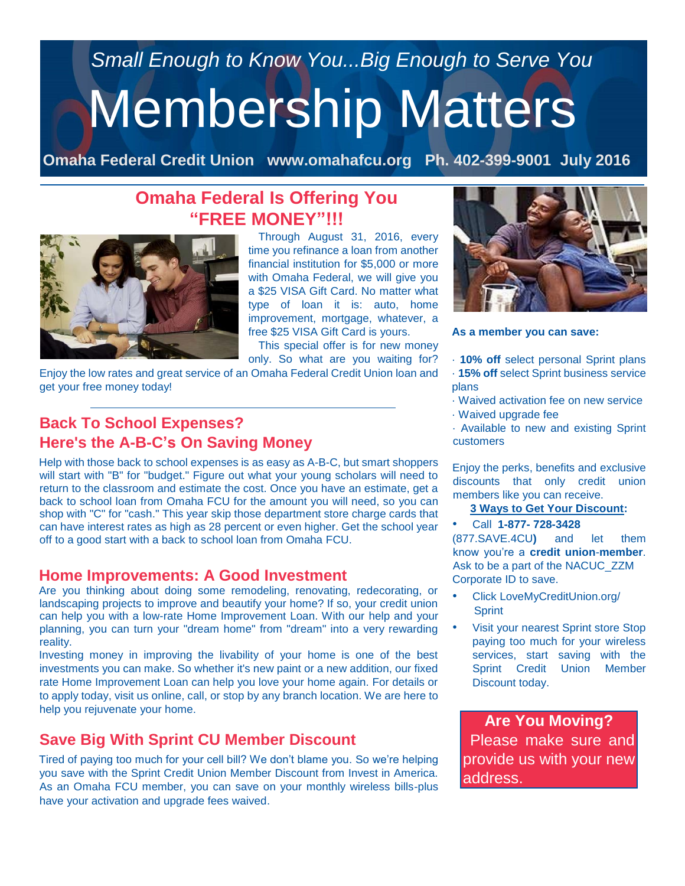*Small Enough to Know You...Big Enough to Serve You*

# Membership Matters

**Omaha Federal Credit Union www.omahafcu.org Ph. 402-399-9001 July 2016**

## **Omaha Federal Is Offering You "FREE MONEY"!!!**



Through August 31, 2016, every time you refinance a loan from another financial institution for \$5,000 or more with Omaha Federal, we will give you a \$25 VISA Gift Card. No matter what type of loan it is: auto, home improvement, mortgage, whatever, a free \$25 VISA Gift Card is yours.

This special offer is for new money only. So what are you waiting for?

Enjoy the low rates and great service of an Omaha Federal Credit Union loan and get your free money today!

## **Back To School Expenses? Here's the A-B-C's On Saving Money**

Help with those back to school expenses is as easy as A-B-C, but smart shoppers will start with "B" for "budget." Figure out what your young scholars will need to return to the classroom and estimate the cost. Once you have an estimate, get a back to school loan from Omaha FCU for the amount you will need, so you can shop with "C" for "cash." This year skip those department store charge cards that can have interest rates as high as 28 percent or even higher. Get the school year off to a good start with a back to school loan from Omaha FCU.

#### **Home Improvements: A Good Investment**

Are you thinking about doing some remodeling, renovating, redecorating, or landscaping projects to improve and beautify your home? If so, your credit union can help you with a low-rate Home Improvement Loan. With our help and your planning, you can turn your "dream home" from "dream" into a very rewarding reality.

Investing money in improving the livability of your home is one of the best investments you can make. So whether it's new paint or a new addition, our fixed rate Home Improvement Loan can help you love your home again. For details or to apply today, visit us online, call, or stop by any branch location. We are here to help you rejuvenate your home.

### **Save Big With Sprint CU Member Discount**

Tired of paying too much for your cell bill? We don't blame you. So we're helping you save with the Sprint Credit Union Member Discount from Invest in America. As an Omaha FCU member, you can save on your monthly wireless bills-plus have your activation and upgrade fees waived.



**As a member you can save:**

- · **10% off** select personal Sprint plans · **15% off** select Sprint business service plans
- · Waived activation fee on new service · Waived upgrade fee
- · Available to new and existing Sprint customers

Enjoy the perks, benefits and exclusive discounts that only credit union members like you can receive.

#### **3 Ways to Get Your Discount:**

• Call **1-877- 728-3428** (877.SAVE.4CU**)** and let them know you're a **credit union**-**member**. Ask to be a part of the NACUC\_ZZM Corporate ID to save.

- Click LoveMyCreditUnion.org/ **Sprint**
- Visit your nearest Sprint store Stop paying too much for your wireless services, start saving with the Sprint Credit Union Member Discount today.

**Are You Moving?** Please make sure and provide us with your new address.